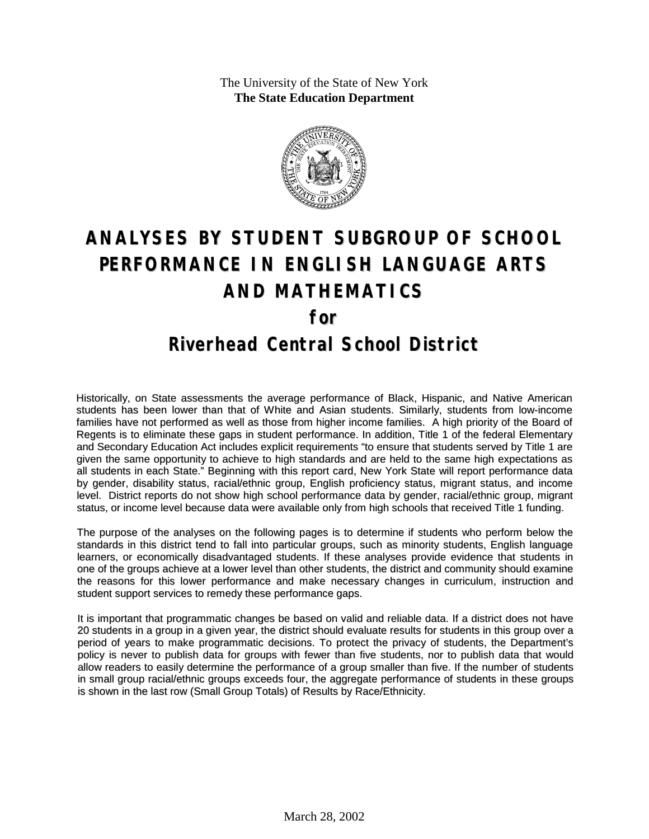The University of the State of New York **The State Education Department**



# **ANALYSES BY STUDENT SUBGROUP OF SCHOOL PERFORMANCE IN ENGLISH LANGUAGE ARTS AND MATHEMATICS for Riverhead Central School District**

Historically, on State assessments the average performance of Black, Hispanic, and Native American students has been lower than that of White and Asian students. Similarly, students from low-income families have not performed as well as those from higher income families. A high priority of the Board of Regents is to eliminate these gaps in student performance. In addition, Title 1 of the federal Elementary and Secondary Education Act includes explicit requirements "to ensure that students served by Title 1 are given the same opportunity to achieve to high standards and are held to the same high expectations as all students in each State." Beginning with this report card, New York State will report performance data by gender, disability status, racial/ethnic group, English proficiency status, migrant status, and income level. District reports do not show high school performance data by gender, racial/ethnic group, migrant status, or income level because data were available only from high schools that received Title 1 funding.

The purpose of the analyses on the following pages is to determine if students who perform below the standards in this district tend to fall into particular groups, such as minority students, English language learners, or economically disadvantaged students. If these analyses provide evidence that students in one of the groups achieve at a lower level than other students, the district and community should examine the reasons for this lower performance and make necessary changes in curriculum, instruction and student support services to remedy these performance gaps.

It is important that programmatic changes be based on valid and reliable data. If a district does not have 20 students in a group in a given year, the district should evaluate results for students in this group over a period of years to make programmatic decisions. To protect the privacy of students, the Department's policy is never to publish data for groups with fewer than five students, nor to publish data that would allow readers to easily determine the performance of a group smaller than five. If the number of students in small group racial/ethnic groups exceeds four, the aggregate performance of students in these groups is shown in the last row (Small Group Totals) of Results by Race/Ethnicity.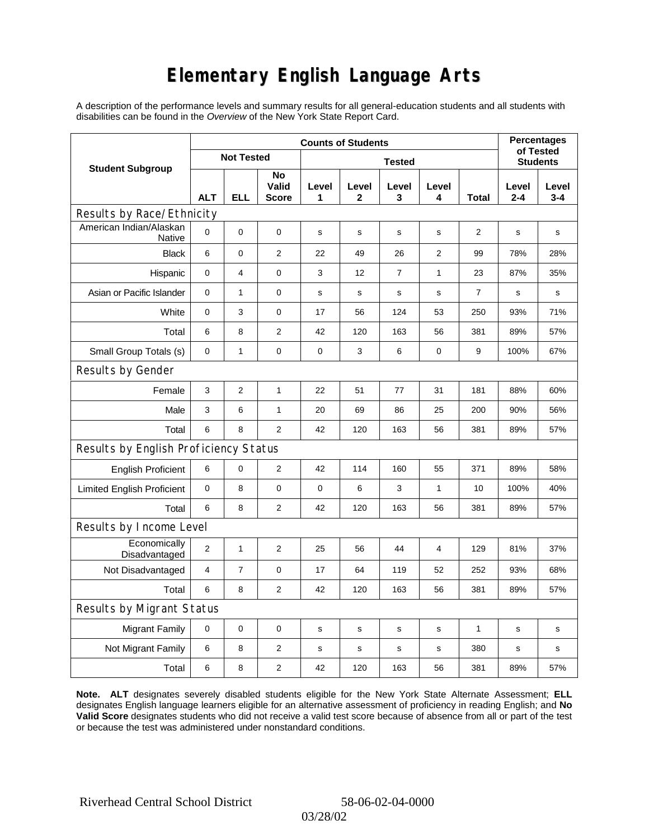# **Elementary English Language Arts**

A description of the performance levels and summary results for all general-education students and all students with disabilities can be found in the *Overview* of the New York State Report Card.

|                                          | <b>Counts of Students</b> |                   |                      |             |            |                 |                |                |                  | <b>Percentages</b><br>of Tested |  |
|------------------------------------------|---------------------------|-------------------|----------------------|-------------|------------|-----------------|----------------|----------------|------------------|---------------------------------|--|
| <b>Student Subgroup</b>                  |                           | <b>Not Tested</b> |                      |             |            | <b>Students</b> |                |                |                  |                                 |  |
|                                          | <b>ALT</b>                | <b>ELL</b>        | No<br>Valid<br>Score | Level<br>1  | Level<br>2 | Level<br>3      | Level<br>4     | Total          | Level<br>$2 - 4$ | Level<br>$3 - 4$                |  |
| Results by Race/Ethnicity                |                           |                   |                      |             |            |                 |                |                |                  |                                 |  |
| American Indian/Alaskan<br><b>Native</b> | 0                         | 0                 | 0                    | $\mathbf s$ | s          | s               | $\mathbf s$    | $\overline{2}$ | $\mathbf s$      | s                               |  |
| <b>Black</b>                             | 6                         | $\mathbf 0$       | 2                    | 22          | 49         | 26              | $\overline{2}$ | 99             | 78%              | 28%                             |  |
| Hispanic                                 | 0                         | 4                 | 0                    | 3           | 12         | 7               | $\mathbf{1}$   | 23             | 87%              | 35%                             |  |
| Asian or Pacific Islander                | 0                         | 1                 | $\pmb{0}$            | $\mathbf s$ | s          | s               | s              | 7              | s                | s                               |  |
| White                                    | $\mathbf 0$               | 3                 | $\mathbf 0$          | 17          | 56         | 124             | 53             | 250            | 93%              | 71%                             |  |
| Total                                    | 6                         | 8                 | $\overline{c}$       | 42          | 120        | 163             | 56             | 381            | 89%              | 57%                             |  |
| Small Group Totals (s)                   | 0                         | 1                 | 0                    | 0           | 3          | 6               | 0              | 9              | 100%             | 67%                             |  |
| Results by Gender                        |                           |                   |                      |             |            |                 |                |                |                  |                                 |  |
| Female                                   | 3                         | $\overline{2}$    | $\mathbf{1}$         | 22          | 51         | 77              | 31             | 181            | 88%              | 60%                             |  |
| Male                                     | 3                         | 6                 | $\mathbf{1}$         | 20          | 69         | 86              | 25             | 200            | 90%              | 56%                             |  |
| Total                                    | 6                         | 8                 | $\mathbf{2}$         | 42          | 120        | 163             | 56             | 381            | 89%              | 57%                             |  |
| Results by English Proficiency Status    |                           |                   |                      |             |            |                 |                |                |                  |                                 |  |
| <b>English Proficient</b>                | 6                         | 0                 | $\overline{c}$       | 42          | 114        | 160             | 55             | 371            | 89%              | 58%                             |  |
| <b>Limited English Proficient</b>        | 0                         | 8                 | $\mathbf 0$          | $\pmb{0}$   | 6          | 3               | 1              | 10             | 100%             | 40%                             |  |
| Total                                    | 6                         | 8                 | $\overline{2}$       | 42          | 120        | 163             | 56             | 381            | 89%              | 57%                             |  |
| Results by Income Level                  |                           |                   |                      |             |            |                 |                |                |                  |                                 |  |
| Economically<br>Disadvantaged            | 2                         | $\mathbf{1}$      | $\overline{c}$       | 25          | 56         | 44              | $\overline{4}$ | 129            | 81%              | 37%                             |  |
| Not Disadvantaged                        | 4                         | $\overline{7}$    | $\mathbf 0$          | 17          | 64         | 119             | 52             | 252            | 93%              | 68%                             |  |
| Total                                    | 6                         | 8                 | $\mathbf{2}$         | 42          | 120        | 163             | 56             | 381            | 89%              | 57%                             |  |
| Results by Migrant Status                |                           |                   |                      |             |            |                 |                |                |                  |                                 |  |
| <b>Migrant Family</b>                    | 0                         | 0                 | 0                    | $\mathbf S$ | S          | $\mathbf S$     | s              | 1              | s                | s                               |  |
| Not Migrant Family                       | 6                         | 8                 | 2                    | $\mathbf s$ | s          | s               | s              | 380            | s                | s                               |  |
| Total                                    | 6                         | 8                 | $\overline{c}$       | 42          | 120        | 163             | 56             | 381            | 89%              | 57%                             |  |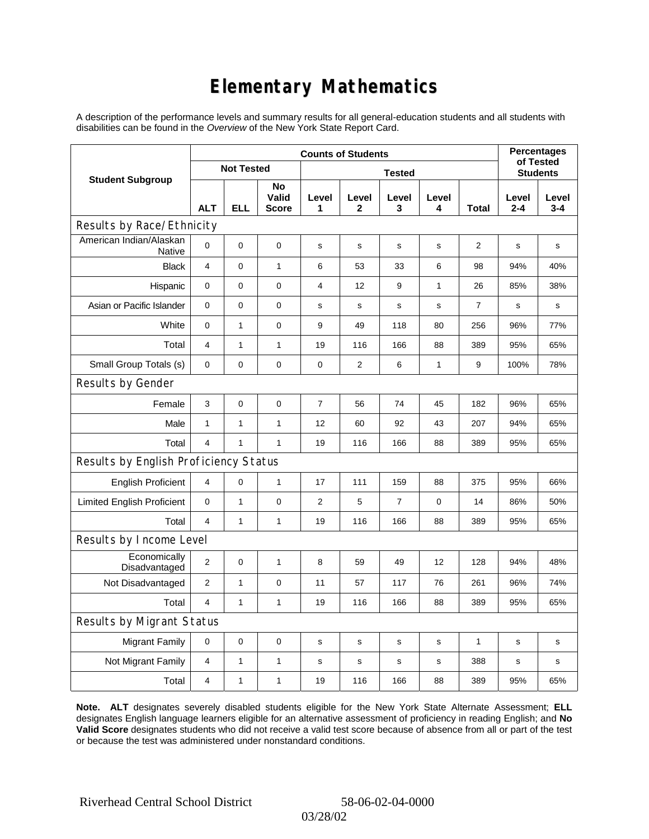# **Elementary Mathematics**

A description of the performance levels and summary results for all general-education students and all students with disabilities can be found in the *Overview* of the New York State Report Card.

|                                          | <b>Counts of Students</b> |                   |                             |                |             |                |             |       |                  | <b>Percentages</b><br>of Tested |  |
|------------------------------------------|---------------------------|-------------------|-----------------------------|----------------|-------------|----------------|-------------|-------|------------------|---------------------------------|--|
| <b>Student Subgroup</b>                  |                           | <b>Not Tested</b> |                             | <b>Tested</b>  |             |                |             |       |                  | <b>Students</b>                 |  |
|                                          | <b>ALT</b>                | <b>ELL</b>        | No<br>Valid<br><b>Score</b> | Level<br>1     | Level<br>2  | Level<br>3     | Level<br>4  | Total | Level<br>$2 - 4$ | Level<br>$3 - 4$                |  |
| Results by Race/Ethnicity                |                           |                   |                             |                |             |                |             |       |                  |                                 |  |
| American Indian/Alaskan<br><b>Native</b> | 0                         | $\mathbf 0$       | $\pmb{0}$                   | s              | s           | s              | s           | 2     | s                | s                               |  |
| <b>Black</b>                             | 4                         | $\overline{0}$    | $\mathbf{1}$                | 6              | 53          | 33             | 6           | 98    | 94%              | 40%                             |  |
| Hispanic                                 | 0                         | 0                 | $\pmb{0}$                   | 4              | 12          | 9              | 1           | 26    | 85%              | 38%                             |  |
| Asian or Pacific Islander                | 0                         | 0                 | 0                           | s              | $\mathbf s$ | $\mathbf s$    | $\mathbf s$ | 7     | $\mathbf s$      | s                               |  |
| White                                    | 0                         | $\mathbf{1}$      | $\pmb{0}$                   | 9              | 49          | 118            | 80          | 256   | 96%              | 77%                             |  |
| Total                                    | $\overline{4}$            | $\mathbf{1}$      | $\mathbf{1}$                | 19             | 116         | 166            | 88          | 389   | 95%              | 65%                             |  |
| Small Group Totals (s)                   | 0                         | 0                 | 0                           | 0              | 2           | 6              | 1           | 9     | 100%             | 78%                             |  |
| Results by Gender                        |                           |                   |                             |                |             |                |             |       |                  |                                 |  |
| Female                                   | 3                         | 0                 | $\pmb{0}$                   | $\overline{7}$ | 56          | 74             | 45          | 182   | 96%              | 65%                             |  |
| Male                                     | $\mathbf{1}$              | $\mathbf{1}$      | $\mathbf{1}$                | 12             | 60          | 92             | 43          | 207   | 94%              | 65%                             |  |
| Total                                    | $\overline{\mathbf{4}}$   | 1                 | $\mathbf{1}$                | 19             | 116         | 166            | 88          | 389   | 95%              | 65%                             |  |
| Results by English Proficiency Status    |                           |                   |                             |                |             |                |             |       |                  |                                 |  |
| <b>English Proficient</b>                | 4                         | 0                 | $\mathbf{1}$                | 17             | 111         | 159            | 88          | 375   | 95%              | 66%                             |  |
| <b>Limited English Proficient</b>        | 0                         | $\mathbf{1}$      | $\pmb{0}$                   | 2              | 5           | $\overline{7}$ | $\mathbf 0$ | 14    | 86%              | 50%                             |  |
| Total                                    | $\overline{4}$            | $\mathbf{1}$      | $\mathbf{1}$                | 19             | 116         | 166            | 88          | 389   | 95%              | 65%                             |  |
| Results by Income Level                  |                           |                   |                             |                |             |                |             |       |                  |                                 |  |
| Economically<br>Disadvantaged            | $\overline{2}$            | 0                 | $\mathbf{1}$                | 8              | 59          | 49             | 12          | 128   | 94%              | 48%                             |  |
| Not Disadvantaged                        | $\overline{2}$            | $\mathbf{1}$      | $\pmb{0}$                   | 11             | 57          | 117            | 76          | 261   | 96%              | 74%                             |  |
| Total                                    | $\overline{4}$            | $\mathbf{1}$      | $\mathbf{1}$                | 19             | 116         | 166            | 88          | 389   | 95%              | 65%                             |  |
| Results by Migrant Status                |                           |                   |                             |                |             |                |             |       |                  |                                 |  |
| <b>Migrant Family</b>                    | $\mathbf 0$               | 0                 | $\mathbf 0$                 | $\mathbf s$    | s           | s              | s           | 1     | s                | s                               |  |
| Not Migrant Family                       | 4                         | 1                 | $\mathbf{1}$                | $\mathbf s$    | $\mathbf s$ | $\mathbf s$    | $\mathbf s$ | 388   | s                | s                               |  |
| Total                                    | 4                         | 1                 | 1                           | 19             | 116         | 166            | 88          | 389   | 95%              | 65%                             |  |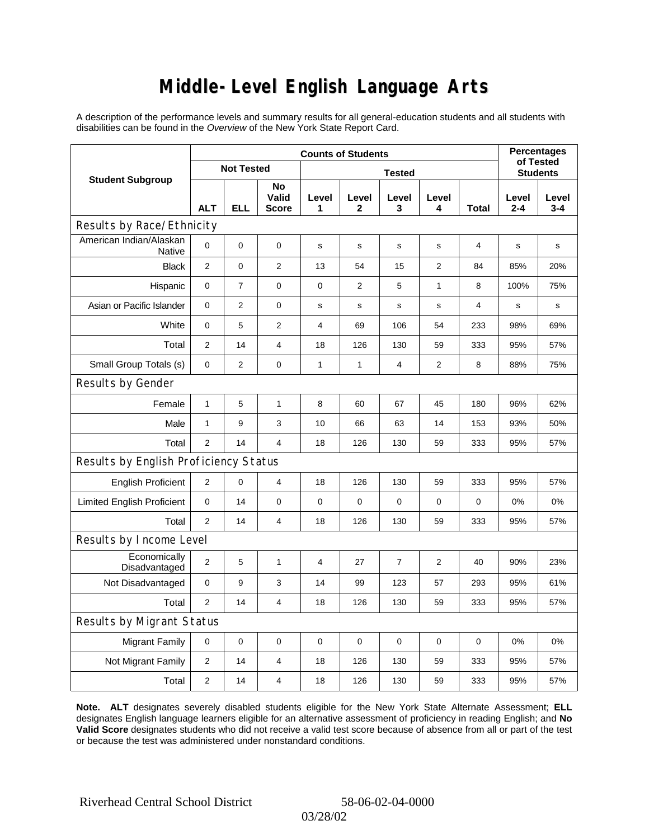### **Middle-Level English Language Arts**

A description of the performance levels and summary results for all general-education students and all students with disabilities can be found in the *Overview* of the New York State Report Card.

|                                          | <b>Counts of Students</b> |                   |                             |                |              |            |                |             |                  | <b>Percentages</b><br>of Tested |  |
|------------------------------------------|---------------------------|-------------------|-----------------------------|----------------|--------------|------------|----------------|-------------|------------------|---------------------------------|--|
| <b>Student Subgroup</b>                  |                           | <b>Not Tested</b> |                             | <b>Tested</b>  |              |            |                |             | <b>Students</b>  |                                 |  |
|                                          | <b>ALT</b>                | <b>ELL</b>        | No<br>Valid<br><b>Score</b> | Level<br>1     | Level<br>2   | Level<br>3 | Level<br>4     | Total       | Level<br>$2 - 4$ | Level<br>$3 - 4$                |  |
| Results by Race/Ethnicity                |                           |                   |                             |                |              |            |                |             |                  |                                 |  |
| American Indian/Alaskan<br><b>Native</b> | 0                         | $\mathbf 0$       | $\mathbf 0$                 | s              | s            | s          | s              | 4           | s                | s                               |  |
| <b>Black</b>                             | $\overline{2}$            | 0                 | $\mathbf{2}$                | 13             | 54           | 15         | $\overline{2}$ | 84          | 85%              | 20%                             |  |
| Hispanic                                 | 0                         | $\overline{7}$    | $\mathbf 0$                 | $\mathbf 0$    | 2            | 5          | 1              | 8           | 100%             | 75%                             |  |
| Asian or Pacific Islander                | 0                         | $\overline{2}$    | $\mathbf 0$                 | $\mathbf s$    | s            | s          | $\mathbf s$    | 4           | s                | s                               |  |
| White                                    | 0                         | 5                 | $\overline{c}$              | $\overline{4}$ | 69           | 106        | 54             | 233         | 98%              | 69%                             |  |
| Total                                    | $\overline{2}$            | 14                | 4                           | 18             | 126          | 130        | 59             | 333         | 95%              | 57%                             |  |
| Small Group Totals (s)                   | $\mathbf 0$               | $\overline{2}$    | $\mathbf 0$                 | 1              | $\mathbf{1}$ | 4          | $\overline{2}$ | 8           | 88%              | 75%                             |  |
| Results by Gender                        |                           |                   |                             |                |              |            |                |             |                  |                                 |  |
| Female                                   | $\mathbf{1}$              | 5                 | $\mathbf{1}$                | 8              | 60           | 67         | 45             | 180         | 96%              | 62%                             |  |
| Male                                     | $\mathbf{1}$              | 9                 | 3                           | 10             | 66           | 63         | 14             | 153         | 93%              | 50%                             |  |
| Total                                    | $\overline{2}$            | 14                | $\overline{4}$              | 18             | 126          | 130        | 59             | 333         | 95%              | 57%                             |  |
| Results by English Proficiency Status    |                           |                   |                             |                |              |            |                |             |                  |                                 |  |
| <b>English Proficient</b>                | 2                         | 0                 | 4                           | 18             | 126          | 130        | 59             | 333         | 95%              | 57%                             |  |
| <b>Limited English Proficient</b>        | 0                         | 14                | $\mathbf 0$                 | $\pmb{0}$      | $\mathbf 0$  | 0          | 0              | 0           | 0%               | 0%                              |  |
| Total                                    | $\overline{2}$            | 14                | $\overline{4}$              | 18             | 126          | 130        | 59             | 333         | 95%              | 57%                             |  |
| Results by Income Level                  |                           |                   |                             |                |              |            |                |             |                  |                                 |  |
| Economically<br>Disadvantaged            | $\overline{2}$            | 5                 | $\mathbf{1}$                | 4              | 27           | 7          | 2              | 40          | 90%              | 23%                             |  |
| Not Disadvantaged                        | 0                         | 9                 | 3                           | 14             | 99           | 123        | 57             | 293         | 95%              | 61%                             |  |
| Total                                    | $\overline{2}$            | 14                | 4                           | 18             | 126          | 130        | 59             | 333         | 95%              | 57%                             |  |
| Results by Migrant Status                |                           |                   |                             |                |              |            |                |             |                  |                                 |  |
| <b>Migrant Family</b>                    | $\mathbf 0$               | 0                 | $\pmb{0}$                   | $\mathbf 0$    | $\mathbf 0$  | 0          | 0              | $\mathbf 0$ | 0%               | 0%                              |  |
| Not Migrant Family                       | 2                         | 14                | $\overline{4}$              | 18             | 126          | 130        | 59             | 333         | 95%              | 57%                             |  |
| Total                                    | $\overline{2}$            | 14                | 4                           | 18             | 126          | 130        | 59             | 333         | 95%              | 57%                             |  |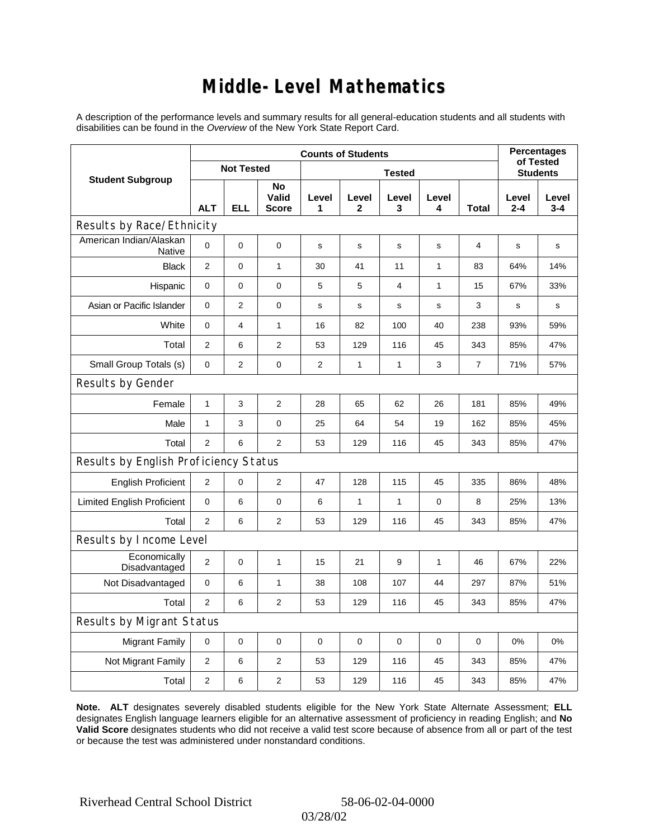### **Middle-Level Mathematics**

A description of the performance levels and summary results for all general-education students and all students with disabilities can be found in the *Overview* of the New York State Report Card.

|                                          |                | <b>Percentages</b><br>of Tested |                             |                |                       |              |              |                 |                  |                  |
|------------------------------------------|----------------|---------------------------------|-----------------------------|----------------|-----------------------|--------------|--------------|-----------------|------------------|------------------|
| <b>Student Subgroup</b>                  |                | <b>Not Tested</b>               |                             |                |                       |              |              | <b>Students</b> |                  |                  |
|                                          | <b>ALT</b>     | <b>ELL</b>                      | No<br>Valid<br><b>Score</b> | Level<br>1     | Level<br>$\mathbf{2}$ | Level<br>3   | Level<br>4   | <b>Total</b>    | Level<br>$2 - 4$ | Level<br>$3 - 4$ |
| Results by Race/Ethnicity                |                |                                 |                             |                |                       |              |              |                 |                  |                  |
| American Indian/Alaskan<br><b>Native</b> | $\mathbf 0$    | 0                               | $\mathbf 0$                 | s              | $\mathbf s$           | $\mathbf s$  | $\mathbf s$  | 4               | s                | s                |
| <b>Black</b>                             | $\mathbf{2}$   | 0                               | $\mathbf{1}$                | 30             | 41                    | 11           | $\mathbf{1}$ | 83              | 64%              | 14%              |
| Hispanic                                 | 0              | 0                               | 0                           | 5              | 5                     | 4            | 1            | 15              | 67%              | 33%              |
| Asian or Pacific Islander                | 0              | $\overline{2}$                  | 0                           | s              | s                     | s            | s            | 3               | s                | s                |
| White                                    | $\mathbf 0$    | 4                               | $\mathbf{1}$                | 16             | 82                    | 100          | 40           | 238             | 93%              | 59%              |
| Total                                    | 2              | 6                               | $\overline{2}$              | 53             | 129                   | 116          | 45           | 343             | 85%              | 47%              |
| Small Group Totals (s)                   | $\mathbf 0$    | $\overline{2}$                  | $\pmb{0}$                   | $\overline{2}$ | $\mathbf{1}$          | $\mathbf{1}$ | 3            | $\overline{7}$  | 71%              | 57%              |
| Results by Gender                        |                |                                 |                             |                |                       |              |              |                 |                  |                  |
| Female                                   | $\mathbf{1}$   | 3                               | $\overline{2}$              | 28             | 65                    | 62           | 26           | 181             | 85%              | 49%              |
| Male                                     | $\mathbf{1}$   | 3                               | 0                           | 25             | 64                    | 54           | 19           | 162             | 85%              | 45%              |
| Total                                    | $\overline{2}$ | 6                               | $\overline{2}$              | 53             | 129                   | 116          | 45           | 343             | 85%              | 47%              |
| Results by English Proficiency Status    |                |                                 |                             |                |                       |              |              |                 |                  |                  |
| <b>English Proficient</b>                | $\overline{c}$ | 0                               | $\overline{2}$              | 47             | 128                   | 115          | 45           | 335             | 86%              | 48%              |
| <b>Limited English Proficient</b>        | 0              | 6                               | $\mathbf 0$                 | 6              | $\mathbf{1}$          | $\mathbf{1}$ | $\mathbf 0$  | 8               | 25%              | 13%              |
| Total                                    | 2              | 6                               | $\mathbf{2}$                | 53             | 129                   | 116          | 45           | 343             | 85%              | 47%              |
| Results by Income Level                  |                |                                 |                             |                |                       |              |              |                 |                  |                  |
| Economically<br>Disadvantaged            | $\mathbf{2}$   | 0                               | 1                           | 15             | 21                    | 9            | 1            | 46              | 67%              | 22%              |
| Not Disadvantaged                        | 0              | 6                               | $\mathbf{1}$                | 38             | 108                   | 107          | 44           | 297             | 87%              | 51%              |
| Total                                    | 2              | 6                               | 2                           | 53             | 129                   | 116          | 45           | 343             | 85%              | 47%              |
| <b>Results by Migrant Status</b>         |                |                                 |                             |                |                       |              |              |                 |                  |                  |
| <b>Migrant Family</b>                    | $\mathbf 0$    | 0                               | $\pmb{0}$                   | $\mathbf 0$    | 0                     | $\mathbf 0$  | 0            | $\mathbf 0$     | 0%               | 0%               |
| Not Migrant Family                       | 2              | 6                               | 2                           | 53             | 129                   | 116          | 45           | 343             | 85%              | 47%              |
| Total                                    | $\mathbf{2}$   | 6                               | 2                           | 53             | 129                   | 116          | 45           | 343             | 85%              | 47%              |